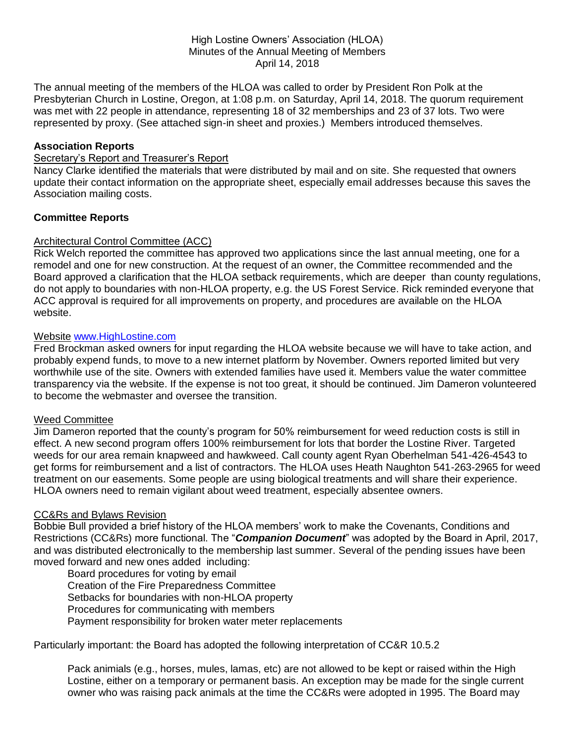#### High Lostine Owners' Association (HLOA) Minutes of the Annual Meeting of Members April 14, 2018

The annual meeting of the members of the HLOA was called to order by President Ron Polk at the Presbyterian Church in Lostine, Oregon, at 1:08 p.m. on Saturday, April 14, 2018. The quorum requirement was met with 22 people in attendance, representing 18 of 32 memberships and 23 of 37 lots. Two were represented by proxy. (See attached sign-in sheet and proxies.) Members introduced themselves.

## **Association Reports**

## Secretary's Report and Treasurer's Report

Nancy Clarke identified the materials that were distributed by mail and on site. She requested that owners update their contact information on the appropriate sheet, especially email addresses because this saves the Association mailing costs.

### **Committee Reports**

### Architectural Control Committee (ACC)

Rick Welch reported the committee has approved two applications since the last annual meeting, one for a remodel and one for new construction. At the request of an owner, the Committee recommended and the Board approved a clarification that the HLOA setback requirements, which are deeper than county regulations, do not apply to boundaries with non-HLOA property, e.g. the US Forest Service. Rick reminded everyone that ACC approval is required for all improvements on property, and procedures are available on the HLOA website.

### Website [www.HighLostine.com](http://www.highlostine.com/)

Fred Brockman asked owners for input regarding the HLOA website because we will have to take action, and probably expend funds, to move to a new internet platform by November. Owners reported limited but very worthwhile use of the site. Owners with extended families have used it. Members value the water committee transparency via the website. If the expense is not too great, it should be continued. Jim Dameron volunteered to become the webmaster and oversee the transition.

### Weed Committee

Jim Dameron reported that the county's program for 50% reimbursement for weed reduction costs is still in effect. A new second program offers 100% reimbursement for lots that border the Lostine River. Targeted weeds for our area remain knapweed and hawkweed. Call county agent Ryan Oberhelman 541-426-4543 to get forms for reimbursement and a list of contractors. The HLOA uses Heath Naughton 541-263-2965 for weed treatment on our easements. Some people are using biological treatments and will share their experience. HLOA owners need to remain vigilant about weed treatment, especially absentee owners.

### CC&Rs and Bylaws Revision

Bobbie Bull provided a brief history of the HLOA members' work to make the Covenants, Conditions and Restrictions (CC&Rs) more functional. The "*Companion Document*" was adopted by the Board in April, 2017, and was distributed electronically to the membership last summer. Several of the pending issues have been moved forward and new ones added including:

Board procedures for voting by email Creation of the Fire Preparedness Committee Setbacks for boundaries with non-HLOA property Procedures for communicating with members Payment responsibility for broken water meter replacements

Particularly important: the Board has adopted the following interpretation of CC&R 10.5.2

Pack animials (e.g., horses, mules, lamas, etc) are not allowed to be kept or raised within the High Lostine, either on a temporary or permanent basis. An exception may be made for the single current owner who was raising pack animals at the time the CC&Rs were adopted in 1995. The Board may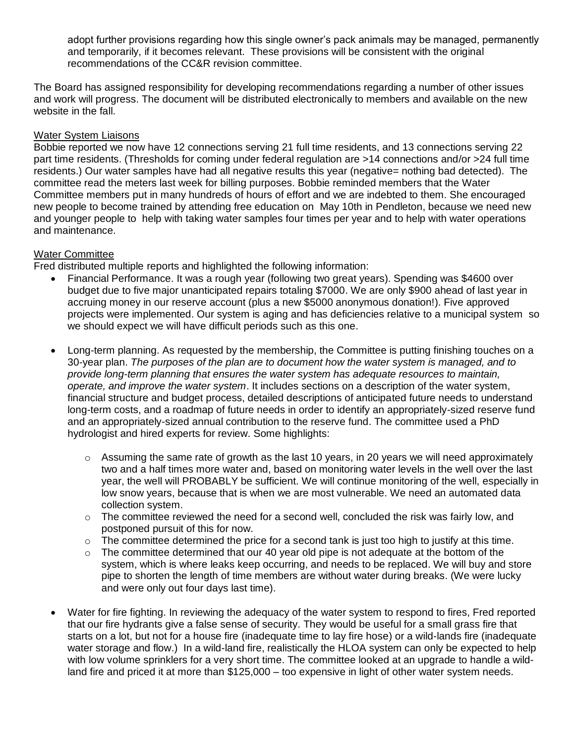adopt further provisions regarding how this single owner's pack animals may be managed, permanently and temporarily, if it becomes relevant. These provisions will be consistent with the original recommendations of the CC&R revision committee.

The Board has assigned responsibility for developing recommendations regarding a number of other issues and work will progress. The document will be distributed electronically to members and available on the new website in the fall.

# Water System Liaisons

Bobbie reported we now have 12 connections serving 21 full time residents, and 13 connections serving 22 part time residents. (Thresholds for coming under federal regulation are >14 connections and/or >24 full time residents.) Our water samples have had all negative results this year (negative= nothing bad detected). The committee read the meters last week for billing purposes. Bobbie reminded members that the Water Committee members put in many hundreds of hours of effort and we are indebted to them. She encouraged new people to become trained by attending free education on May 10th in Pendleton, because we need new and younger people to help with taking water samples four times per year and to help with water operations and maintenance.

### Water Committee

Fred distributed multiple reports and highlighted the following information:

- Financial Performance. It was a rough year (following two great years). Spending was \$4600 over budget due to five major unanticipated repairs totaling \$7000. We are only \$900 ahead of last year in accruing money in our reserve account (plus a new \$5000 anonymous donation!). Five approved projects were implemented. Our system is aging and has deficiencies relative to a municipal system so we should expect we will have difficult periods such as this one.
- Long-term planning. As requested by the membership, the Committee is putting finishing touches on a 30-year plan. *The purposes of the plan are to document how the water system is managed, and to provide long-term planning that ensures the water system has adequate resources to maintain, operate, and improve the water system*. It includes sections on a description of the water system, financial structure and budget process, detailed descriptions of anticipated future needs to understand long-term costs, and a roadmap of future needs in order to identify an appropriately-sized reserve fund and an appropriately-sized annual contribution to the reserve fund. The committee used a PhD hydrologist and hired experts for review. Some highlights:
	- $\circ$  Assuming the same rate of growth as the last 10 years, in 20 years we will need approximately two and a half times more water and, based on monitoring water levels in the well over the last year, the well will PROBABLY be sufficient. We will continue monitoring of the well, especially in low snow years, because that is when we are most vulnerable. We need an automated data collection system.
	- $\circ$  The committee reviewed the need for a second well, concluded the risk was fairly low, and postponed pursuit of this for now.
	- $\circ$  The committee determined the price for a second tank is just too high to justify at this time.
	- $\circ$  The committee determined that our 40 year old pipe is not adequate at the bottom of the system, which is where leaks keep occurring, and needs to be replaced. We will buy and store pipe to shorten the length of time members are without water during breaks. (We were lucky and were only out four days last time).
- Water for fire fighting. In reviewing the adequacy of the water system to respond to fires, Fred reported that our fire hydrants give a false sense of security. They would be useful for a small grass fire that starts on a lot, but not for a house fire (inadequate time to lay fire hose) or a wild-lands fire (inadequate water storage and flow.) In a wild-land fire, realistically the HLOA system can only be expected to help with low volume sprinklers for a very short time. The committee looked at an upgrade to handle a wildland fire and priced it at more than \$125,000 – too expensive in light of other water system needs.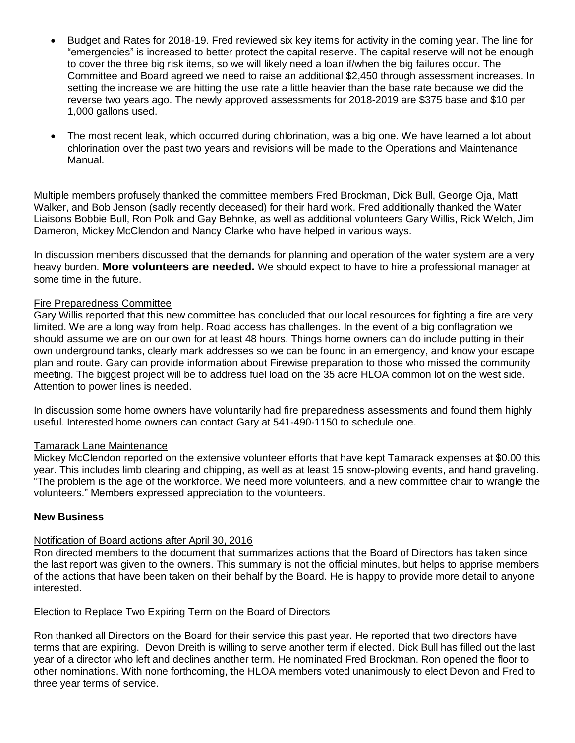- Budget and Rates for 2018-19. Fred reviewed six key items for activity in the coming year. The line for "emergencies" is increased to better protect the capital reserve. The capital reserve will not be enough to cover the three big risk items, so we will likely need a loan if/when the big failures occur. The Committee and Board agreed we need to raise an additional \$2,450 through assessment increases. In setting the increase we are hitting the use rate a little heavier than the base rate because we did the reverse two years ago. The newly approved assessments for 2018-2019 are \$375 base and \$10 per 1,000 gallons used.
- The most recent leak, which occurred during chlorination, was a big one. We have learned a lot about chlorination over the past two years and revisions will be made to the Operations and Maintenance Manual.

Multiple members profusely thanked the committee members Fred Brockman, Dick Bull, George Oja, Matt Walker, and Bob Jenson (sadly recently deceased) for their hard work. Fred additionally thanked the Water Liaisons Bobbie Bull, Ron Polk and Gay Behnke, as well as additional volunteers Gary Willis, Rick Welch, Jim Dameron, Mickey McClendon and Nancy Clarke who have helped in various ways.

In discussion members discussed that the demands for planning and operation of the water system are a very heavy burden. **More volunteers are needed.** We should expect to have to hire a professional manager at some time in the future.

### Fire Preparedness Committee

Gary Willis reported that this new committee has concluded that our local resources for fighting a fire are very limited. We are a long way from help. Road access has challenges. In the event of a big conflagration we should assume we are on our own for at least 48 hours. Things home owners can do include putting in their own underground tanks, clearly mark addresses so we can be found in an emergency, and know your escape plan and route. Gary can provide information about Firewise preparation to those who missed the community meeting. The biggest project will be to address fuel load on the 35 acre HLOA common lot on the west side. Attention to power lines is needed.

In discussion some home owners have voluntarily had fire preparedness assessments and found them highly useful. Interested home owners can contact Gary at 541-490-1150 to schedule one.

### Tamarack Lane Maintenance

Mickey McClendon reported on the extensive volunteer efforts that have kept Tamarack expenses at \$0.00 this year. This includes limb clearing and chipping, as well as at least 15 snow-plowing events, and hand graveling. "The problem is the age of the workforce. We need more volunteers, and a new committee chair to wrangle the volunteers." Members expressed appreciation to the volunteers.

### **New Business**

# Notification of Board actions after April 30, 2016

Ron directed members to the document that summarizes actions that the Board of Directors has taken since the last report was given to the owners. This summary is not the official minutes, but helps to apprise members of the actions that have been taken on their behalf by the Board. He is happy to provide more detail to anyone interested.

### Election to Replace Two Expiring Term on the Board of Directors

Ron thanked all Directors on the Board for their service this past year. He reported that two directors have terms that are expiring. Devon Dreith is willing to serve another term if elected. Dick Bull has filled out the last year of a director who left and declines another term. He nominated Fred Brockman. Ron opened the floor to other nominations. With none forthcoming, the HLOA members voted unanimously to elect Devon and Fred to three year terms of service.